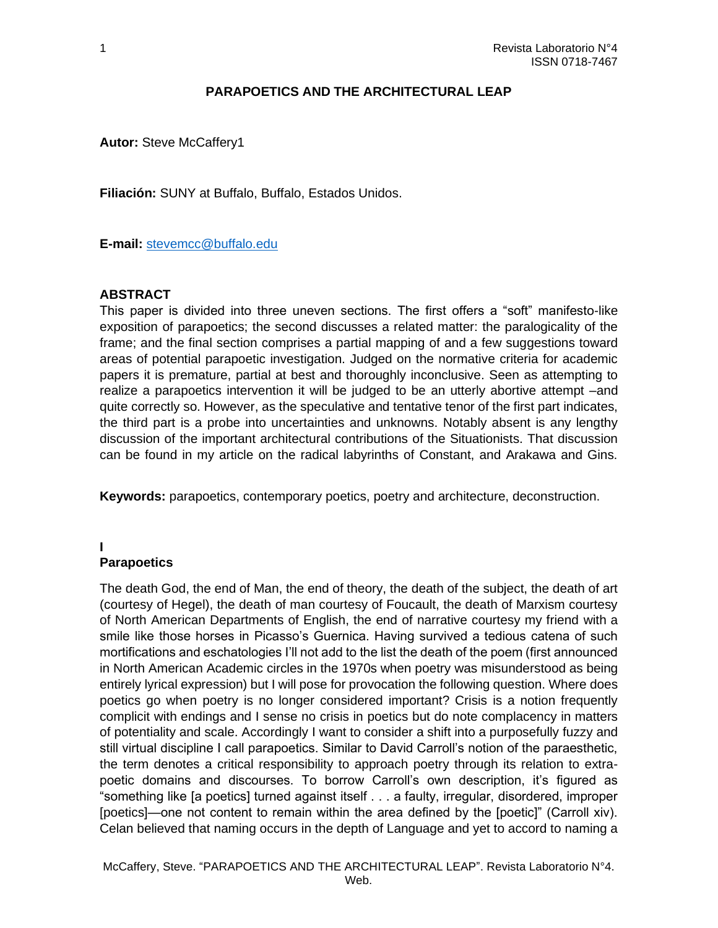## **PARAPOETICS AND THE ARCHITECTURAL LEAP**

**Autor:** Steve McCaffery1

**Filiación:** SUNY at Buffalo, Buffalo, Estados Unidos.

**E-mail:** [stevemcc@buffalo.edu](mailto:%20stevemcc@buffalo.edu)

### **ABSTRACT**

This paper is divided into three uneven sections. The first offers a "soft" manifesto-like exposition of parapoetics; the second discusses a related matter: the paralogicality of the frame; and the final section comprises a partial mapping of and a few suggestions toward areas of potential parapoetic investigation. Judged on the normative criteria for academic papers it is premature, partial at best and thoroughly inconclusive. Seen as attempting to realize a parapoetics intervention it will be judged to be an utterly abortive attempt –and quite correctly so. However, as the speculative and tentative tenor of the first part indicates, the third part is a probe into uncertainties and unknowns. Notably absent is any lengthy discussion of the important architectural contributions of the Situationists. That discussion can be found in my article on the radical labyrinths of Constant, and Arakawa and Gins.

**Keywords:** parapoetics, contemporary poetics, poetry and architecture, deconstruction.

#### **I**

### **Parapoetics**

The death God, the end of Man, the end of theory, the death of the subject, the death of art (courtesy of Hegel), the death of man courtesy of Foucault, the death of Marxism courtesy of North American Departments of English, the end of narrative courtesy my friend with a smile like those horses in Picasso's Guernica. Having survived a tedious catena of such mortifications and eschatologies I'll not add to the list the death of the poem (first announced in North American Academic circles in the 1970s when poetry was misunderstood as being entirely lyrical expression) but I will pose for provocation the following question. Where does poetics go when poetry is no longer considered important? Crisis is a notion frequently complicit with endings and I sense no crisis in poetics but do note complacency in matters of potentiality and scale. Accordingly I want to consider a shift into a purposefully fuzzy and still virtual discipline I call parapoetics. Similar to David Carroll's notion of the paraesthetic, the term denotes a critical responsibility to approach poetry through its relation to extrapoetic domains and discourses. To borrow Carroll's own description, it's figured as "something like [a poetics] turned against itself . . . a faulty, irregular, disordered, improper [poetics]—one not content to remain within the area defined by the [poetic]" (Carroll xiv). Celan believed that naming occurs in the depth of Language and yet to accord to naming a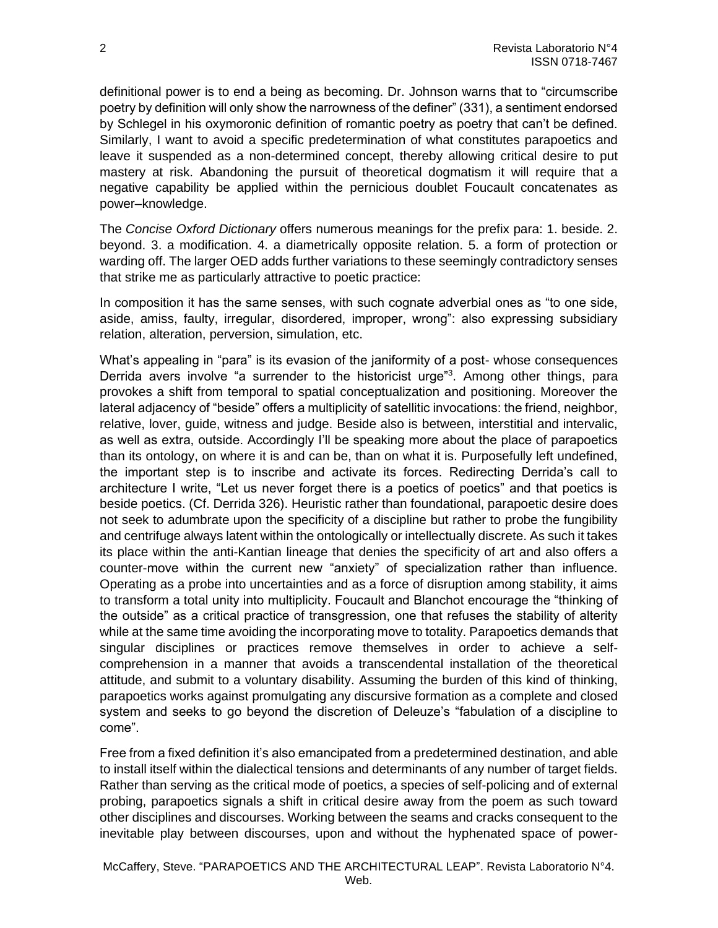definitional power is to end a being as becoming. Dr. Johnson warns that to "circumscribe poetry by definition will only show the narrowness of the definer" (331), a sentiment endorsed by Schlegel in his oxymoronic definition of romantic poetry as poetry that can't be defined. Similarly, I want to avoid a specific predetermination of what constitutes parapoetics and leave it suspended as a non-determined concept, thereby allowing critical desire to put mastery at risk. Abandoning the pursuit of theoretical dogmatism it will require that a negative capability be applied within the pernicious doublet Foucault concatenates as power–knowledge.

The *Concise Oxford Dictionary* offers numerous meanings for the prefix para: 1. beside. 2. beyond. 3. a modification. 4. a diametrically opposite relation. 5. a form of protection or warding off. The larger OED adds further variations to these seemingly contradictory senses that strike me as particularly attractive to poetic practice:

In composition it has the same senses, with such cognate adverbial ones as "to one side, aside, amiss, faulty, irregular, disordered, improper, wrong": also expressing subsidiary relation, alteration, perversion, simulation, etc.

What's appealing in "para" is its evasion of the janiformity of a post- whose consequences Derrida avers involve "a surrender to the historicist urge"<sup>3</sup>. Among other things, para provokes a shift from temporal to spatial conceptualization and positioning. Moreover the lateral adjacency of "beside" offers a multiplicity of satellitic invocations: the friend, neighbor, relative, lover, guide, witness and judge. Beside also is between, interstitial and intervalic, as well as extra, outside. Accordingly I'll be speaking more about the place of parapoetics than its ontology, on where it is and can be, than on what it is. Purposefully left undefined, the important step is to inscribe and activate its forces. Redirecting Derrida's call to architecture I write, "Let us never forget there is a poetics of poetics" and that poetics is beside poetics. (Cf. Derrida 326). Heuristic rather than foundational, parapoetic desire does not seek to adumbrate upon the specificity of a discipline but rather to probe the fungibility and centrifuge always latent within the ontologically or intellectually discrete. As such it takes its place within the anti-Kantian lineage that denies the specificity of art and also offers a counter-move within the current new "anxiety" of specialization rather than influence. Operating as a probe into uncertainties and as a force of disruption among stability, it aims to transform a total unity into multiplicity. Foucault and Blanchot encourage the "thinking of the outside" as a critical practice of transgression, one that refuses the stability of alterity while at the same time avoiding the incorporating move to totality. Parapoetics demands that singular disciplines or practices remove themselves in order to achieve a selfcomprehension in a manner that avoids a transcendental installation of the theoretical attitude, and submit to a voluntary disability. Assuming the burden of this kind of thinking, parapoetics works against promulgating any discursive formation as a complete and closed system and seeks to go beyond the discretion of Deleuze's "fabulation of a discipline to come".

Free from a fixed definition it's also emancipated from a predetermined destination, and able to install itself within the dialectical tensions and determinants of any number of target fields. Rather than serving as the critical mode of poetics, a species of self-policing and of external probing, parapoetics signals a shift in critical desire away from the poem as such toward other disciplines and discourses. Working between the seams and cracks consequent to the inevitable play between discourses, upon and without the hyphenated space of power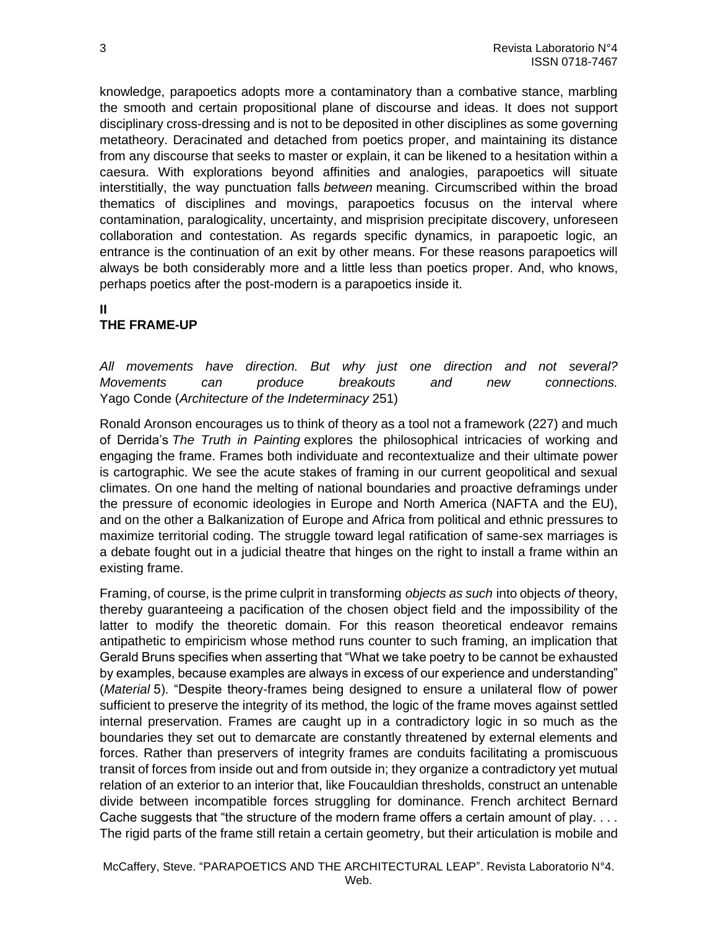knowledge, parapoetics adopts more a contaminatory than a combative stance, marbling the smooth and certain propositional plane of discourse and ideas. It does not support disciplinary cross-dressing and is not to be deposited in other disciplines as some governing metatheory. Deracinated and detached from poetics proper, and maintaining its distance from any discourse that seeks to master or explain, it can be likened to a hesitation within a caesura. With explorations beyond affinities and analogies, parapoetics will situate interstitially, the way punctuation falls *between* meaning. Circumscribed within the broad thematics of disciplines and movings, parapoetics focusus on the interval where contamination, paralogicality, uncertainty, and misprision precipitate discovery, unforeseen collaboration and contestation. As regards specific dynamics, in parapoetic logic, an entrance is the continuation of an exit by other means. For these reasons parapoetics will always be both considerably more and a little less than poetics proper. And, who knows, perhaps poetics after the post-modern is a parapoetics inside it.

# **II THE FRAME-UP**

*All movements have direction. But why just one direction and not several? Movements can produce breakouts and new connections.* Yago Conde (*Architecture of the Indeterminacy* 251)

Ronald Aronson encourages us to think of theory as a tool not a framework (227) and much of Derrida's *The Truth in Painting* explores the philosophical intricacies of working and engaging the frame. Frames both individuate and recontextualize and their ultimate power is cartographic. We see the acute stakes of framing in our current geopolitical and sexual climates. On one hand the melting of national boundaries and proactive deframings under the pressure of economic ideologies in Europe and North America (NAFTA and the EU), and on the other a Balkanization of Europe and Africa from political and ethnic pressures to maximize territorial coding. The struggle toward legal ratification of same-sex marriages is a debate fought out in a judicial theatre that hinges on the right to install a frame within an existing frame.

Framing, of course, is the prime culprit in transforming *objects as such* into objects *of* theory, thereby guaranteeing a pacification of the chosen object field and the impossibility of the latter to modify the theoretic domain. For this reason theoretical endeavor remains antipathetic to empiricism whose method runs counter to such framing, an implication that Gerald Bruns specifies when asserting that "What we take poetry to be cannot be exhausted by examples, because examples are always in excess of our experience and understanding" (*Material* 5). "Despite theory-frames being designed to ensure a unilateral flow of power sufficient to preserve the integrity of its method, the logic of the frame moves against settled internal preservation. Frames are caught up in a contradictory logic in so much as the boundaries they set out to demarcate are constantly threatened by external elements and forces. Rather than preservers of integrity frames are conduits facilitating a promiscuous transit of forces from inside out and from outside in; they organize a contradictory yet mutual relation of an exterior to an interior that, like Foucauldian thresholds, construct an untenable divide between incompatible forces struggling for dominance. French architect Bernard Cache suggests that "the structure of the modern frame offers a certain amount of play.... The rigid parts of the frame still retain a certain geometry, but their articulation is mobile and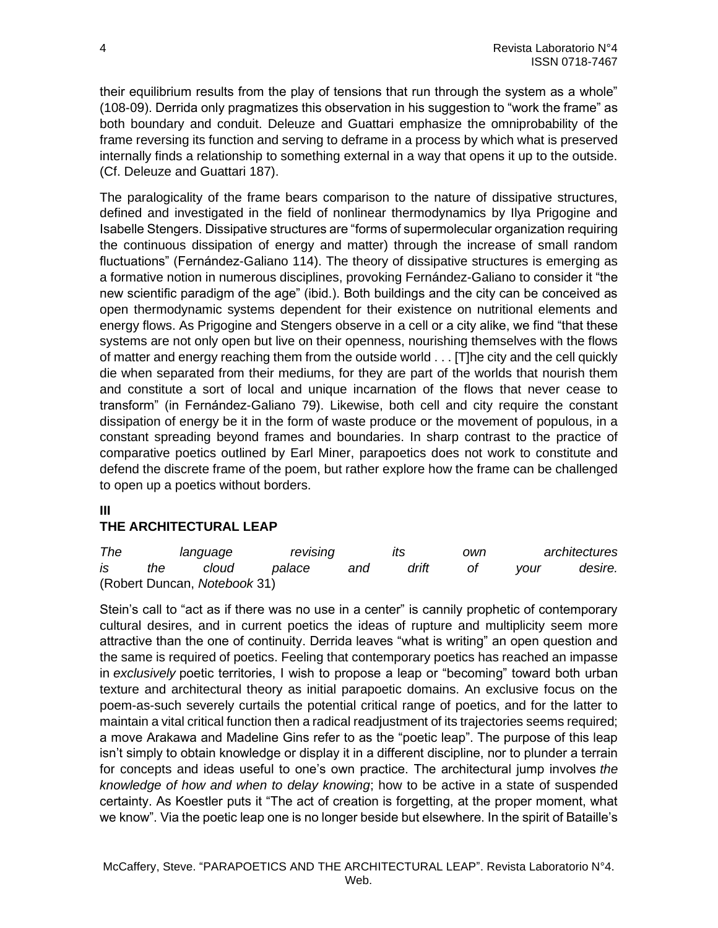their equilibrium results from the play of tensions that run through the system as a whole" (108-09). Derrida only pragmatizes this observation in his suggestion to "work the frame" as both boundary and conduit. Deleuze and Guattari emphasize the omniprobability of the frame reversing its function and serving to deframe in a process by which what is preserved internally finds a relationship to something external in a way that opens it up to the outside. (Cf. Deleuze and Guattari 187).

The paralogicality of the frame bears comparison to the nature of dissipative structures, defined and investigated in the field of nonlinear thermodynamics by Ilya Prigogine and Isabelle Stengers. Dissipative structures are "forms of supermolecular organization requiring the continuous dissipation of energy and matter) through the increase of small random fluctuations" (Fernández-Galiano 114). The theory of dissipative structures is emerging as a formative notion in numerous disciplines, provoking Fernández-Galiano to consider it "the new scientific paradigm of the age" (ibid.). Both buildings and the city can be conceived as open thermodynamic systems dependent for their existence on nutritional elements and energy flows. As Prigogine and Stengers observe in a cell or a city alike, we find "that these systems are not only open but live on their openness, nourishing themselves with the flows of matter and energy reaching them from the outside world . . . [T]he city and the cell quickly die when separated from their mediums, for they are part of the worlds that nourish them and constitute a sort of local and unique incarnation of the flows that never cease to transform" (in Fernández-Galiano 79). Likewise, both cell and city require the constant dissipation of energy be it in the form of waste produce or the movement of populous, in a constant spreading beyond frames and boundaries. In sharp contrast to the practice of comparative poetics outlined by Earl Miner, parapoetics does not work to constitute and defend the discrete frame of the poem, but rather explore how the frame can be challenged to open up a poetics without borders.

### **III**

# **THE ARCHITECTURAL LEAP**

| The | language |                              | revisina |     | ıts   | own | architectures |         |
|-----|----------|------------------------------|----------|-----|-------|-----|---------------|---------|
| is  | the      | cloud                        | palace   | and | drift | Of. | vour          | desire. |
|     |          | (Robert Duncan, Notebook 31) |          |     |       |     |               |         |

Stein's call to "act as if there was no use in a center" is cannily prophetic of contemporary cultural desires, and in current poetics the ideas of rupture and multiplicity seem more attractive than the one of continuity. Derrida leaves "what is writing" an open question and the same is required of poetics. Feeling that contemporary poetics has reached an impasse in *exclusively* poetic territories, I wish to propose a leap or "becoming" toward both urban texture and architectural theory as initial parapoetic domains. An exclusive focus on the poem-as-such severely curtails the potential critical range of poetics, and for the latter to maintain a vital critical function then a radical readjustment of its trajectories seems required; a move Arakawa and Madeline Gins refer to as the "poetic leap". The purpose of this leap isn't simply to obtain knowledge or display it in a different discipline, nor to plunder a terrain for concepts and ideas useful to one's own practice. The architectural jump involves *the knowledge of how and when to delay knowing*; how to be active in a state of suspended certainty. As Koestler puts it "The act of creation is forgetting, at the proper moment, what we know". Via the poetic leap one is no longer beside but elsewhere. In the spirit of Bataille's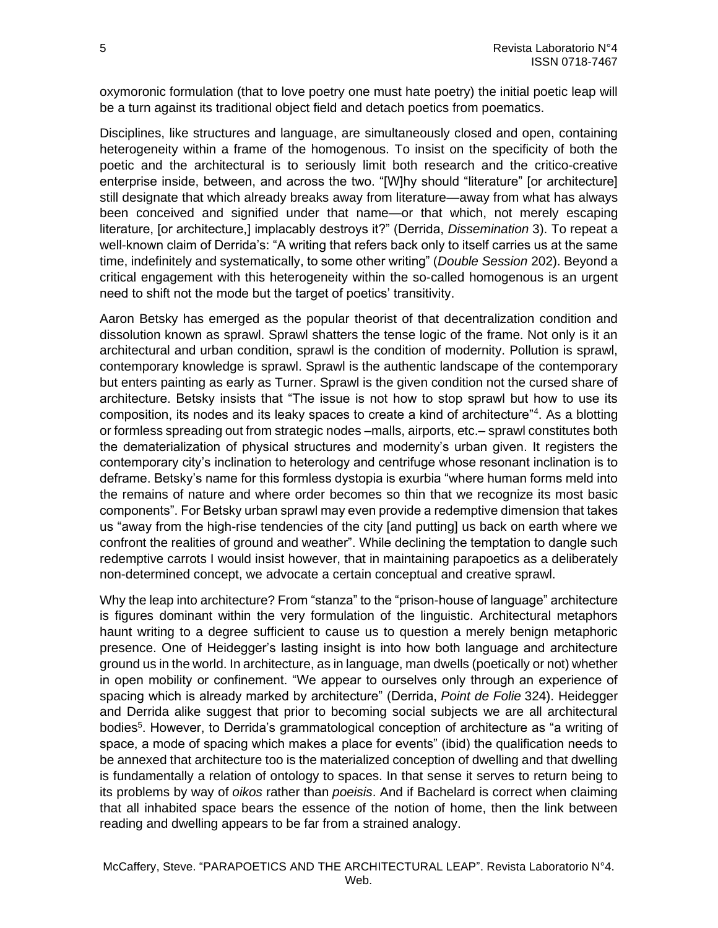oxymoronic formulation (that to love poetry one must hate poetry) the initial poetic leap will be a turn against its traditional object field and detach poetics from poematics.

Disciplines, like structures and language, are simultaneously closed and open, containing heterogeneity within a frame of the homogenous. To insist on the specificity of both the poetic and the architectural is to seriously limit both research and the critico-creative enterprise inside, between, and across the two. "[W]hy should "literature" [or architecture] still designate that which already breaks away from literature—away from what has always been conceived and signified under that name—or that which, not merely escaping literature, [or architecture,] implacably destroys it?" (Derrida, *Dissemination* 3). To repeat a well-known claim of Derrida's: "A writing that refers back only to itself carries us at the same time, indefinitely and systematically, to some other writing" (*Double Session* 202). Beyond a critical engagement with this heterogeneity within the so-called homogenous is an urgent need to shift not the mode but the target of poetics' transitivity.

Aaron Betsky has emerged as the popular theorist of that decentralization condition and dissolution known as sprawl. Sprawl shatters the tense logic of the frame. Not only is it an architectural and urban condition, sprawl is the condition of modernity. Pollution is sprawl, contemporary knowledge is sprawl. Sprawl is the authentic landscape of the contemporary but enters painting as early as Turner. Sprawl is the given condition not the cursed share of architecture. Betsky insists that "The issue is not how to stop sprawl but how to use its composition, its nodes and its leaky spaces to create a kind of architecture"<sup>4</sup>. As a blotting or formless spreading out from strategic nodes –malls, airports, etc.– sprawl constitutes both the dematerialization of physical structures and modernity's urban given. It registers the contemporary city's inclination to heterology and centrifuge whose resonant inclination is to deframe. Betsky's name for this formless dystopia is exurbia "where human forms meld into the remains of nature and where order becomes so thin that we recognize its most basic components". For Betsky urban sprawl may even provide a redemptive dimension that takes us "away from the high-rise tendencies of the city [and putting] us back on earth where we confront the realities of ground and weather". While declining the temptation to dangle such redemptive carrots I would insist however, that in maintaining parapoetics as a deliberately non-determined concept, we advocate a certain conceptual and creative sprawl.

Why the leap into architecture? From "stanza" to the "prison-house of language" architecture is figures dominant within the very formulation of the linguistic. Architectural metaphors haunt writing to a degree sufficient to cause us to question a merely benign metaphoric presence. One of Heidegger's lasting insight is into how both language and architecture ground us in the world. In architecture, as in language, man dwells (poetically or not) whether in open mobility or confinement. "We appear to ourselves only through an experience of spacing which is already marked by architecture" (Derrida, *Point de Folie* 324). Heidegger and Derrida alike suggest that prior to becoming social subjects we are all architectural bodies<sup>5</sup>. However, to Derrida's grammatological conception of architecture as "a writing of space, a mode of spacing which makes a place for events" (ibid) the qualification needs to be annexed that architecture too is the materialized conception of dwelling and that dwelling is fundamentally a relation of ontology to spaces. In that sense it serves to return being to its problems by way of *oikos* rather than *poeisis*. And if Bachelard is correct when claiming that all inhabited space bears the essence of the notion of home, then the link between reading and dwelling appears to be far from a strained analogy.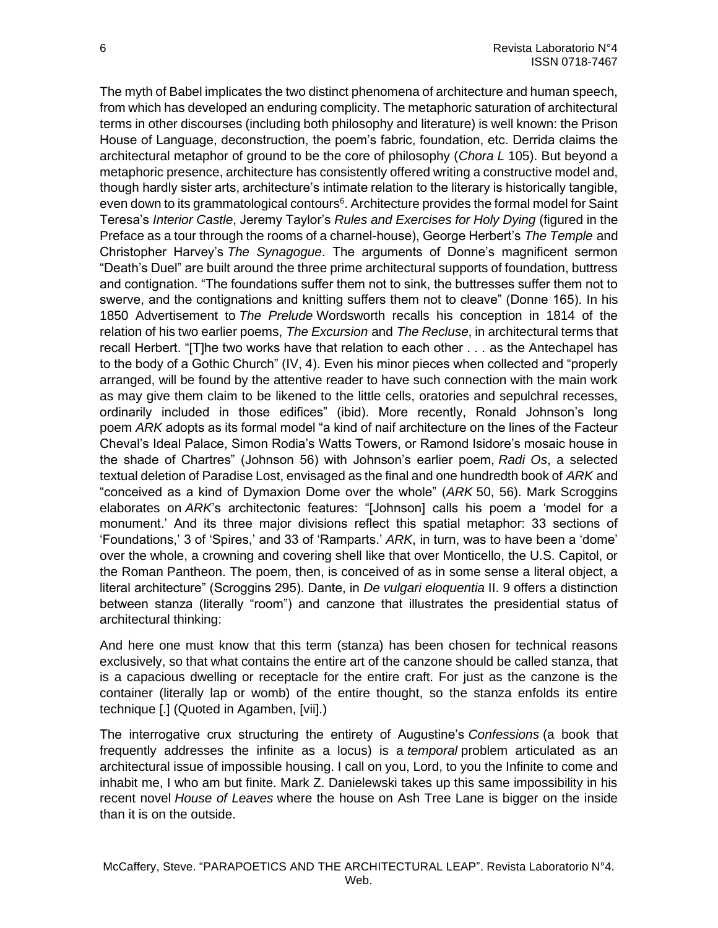The myth of Babel implicates the two distinct phenomena of architecture and human speech, from which has developed an enduring complicity. The metaphoric saturation of architectural terms in other discourses (including both philosophy and literature) is well known: the Prison House of Language, deconstruction, the poem's fabric, foundation, etc. Derrida claims the architectural metaphor of ground to be the core of philosophy (*Chora L* 105). But beyond a metaphoric presence, architecture has consistently offered writing a constructive model and, though hardly sister arts, architecture's intimate relation to the literary is historically tangible, even down to its grammatological contours<sup>6</sup>. Architecture provides the formal model for Saint Teresa's *Interior Castle*, Jeremy Taylor's *Rules and Exercises for Holy Dying* (figured in the Preface as a tour through the rooms of a charnel-house), George Herbert's *The Temple* and Christopher Harvey's *The Synagogue*. The arguments of Donne's magnificent sermon "Death's Duel" are built around the three prime architectural supports of foundation, buttress and contignation. "The foundations suffer them not to sink, the buttresses suffer them not to swerve, and the contignations and knitting suffers them not to cleave" (Donne 165). In his 1850 Advertisement to *The Prelude* Wordsworth recalls his conception in 1814 of the relation of his two earlier poems, *The Excursion* and *The Recluse*, in architectural terms that recall Herbert. "[T]he two works have that relation to each other . . . as the Antechapel has to the body of a Gothic Church" (IV, 4). Even his minor pieces when collected and "properly arranged, will be found by the attentive reader to have such connection with the main work as may give them claim to be likened to the little cells, oratories and sepulchral recesses, ordinarily included in those edifices" (ibid). More recently, Ronald Johnson's long poem *ARK* adopts as its formal model "a kind of naif architecture on the lines of the Facteur Cheval's Ideal Palace, Simon Rodia's Watts Towers, or Ramond Isidore's mosaic house in the shade of Chartres" (Johnson 56) with Johnson's earlier poem, *Radi Os*, a selected textual deletion of Paradise Lost, envisaged as the final and one hundredth book of *ARK* and "conceived as a kind of Dymaxion Dome over the whole" (*ARK* 50, 56). Mark Scroggins elaborates on *ARK*'s architectonic features: "[Johnson] calls his poem a 'model for a monument.' And its three major divisions reflect this spatial metaphor: 33 sections of 'Foundations,' 3 of 'Spires,' and 33 of 'Ramparts.' *ARK*, in turn, was to have been a 'dome' over the whole, a crowning and covering shell like that over Monticello, the U.S. Capitol, or the Roman Pantheon. The poem, then, is conceived of as in some sense a literal object, a literal architecture" (Scroggins 295). Dante, in *De vulgari eloquentia* II. 9 offers a distinction between stanza (literally "room") and canzone that illustrates the presidential status of architectural thinking:

And here one must know that this term (stanza) has been chosen for technical reasons exclusively, so that what contains the entire art of the canzone should be called stanza, that is a capacious dwelling or receptacle for the entire craft. For just as the canzone is the container (literally lap or womb) of the entire thought, so the stanza enfolds its entire technique [.] (Quoted in Agamben, [vii].)

The interrogative crux structuring the entirety of Augustine's *Confessions* (a book that frequently addresses the infinite as a locus) is a *temporal* problem articulated as an architectural issue of impossible housing. I call on you, Lord, to you the Infinite to come and inhabit me, I who am but finite. Mark Z. Danielewski takes up this same impossibility in his recent novel *House of Leaves* where the house on Ash Tree Lane is bigger on the inside than it is on the outside.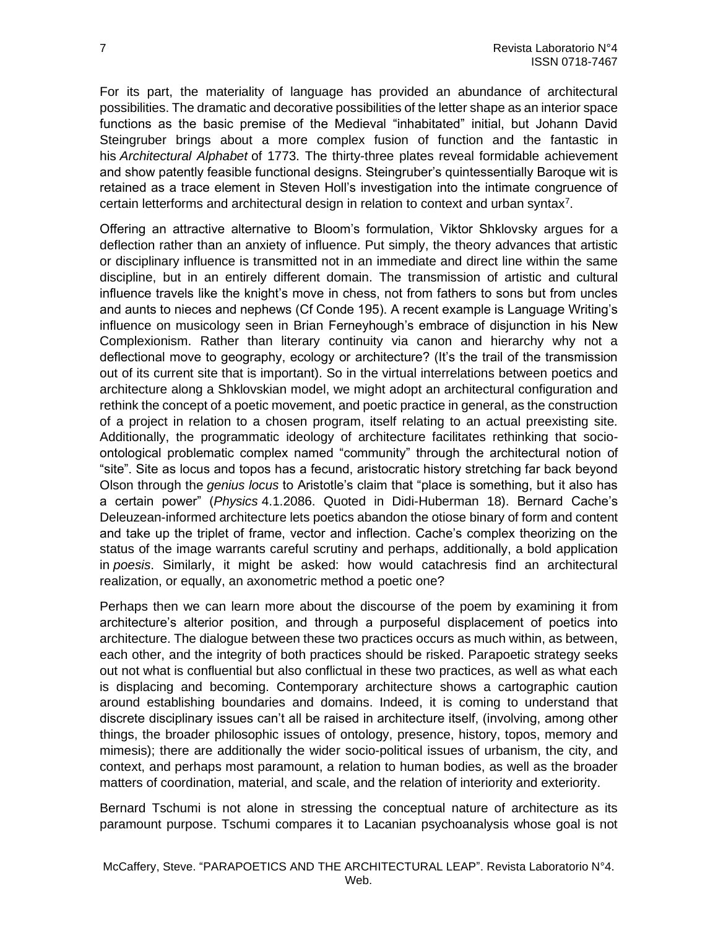For its part, the materiality of language has provided an abundance of architectural possibilities. The dramatic and decorative possibilities of the letter shape as an interior space functions as the basic premise of the Medieval "inhabitated" initial, but Johann David Steingruber brings about a more complex fusion of function and the fantastic in his *Architectural Alphabet* of 1773. The thirty-three plates reveal formidable achievement and show patently feasible functional designs. Steingruber's quintessentially Baroque wit is retained as a trace element in Steven Holl's investigation into the intimate congruence of certain letterforms and architectural design in relation to context and urban syntax<sup>7</sup>.

Offering an attractive alternative to Bloom's formulation, Viktor Shklovsky argues for a deflection rather than an anxiety of influence. Put simply, the theory advances that artistic or disciplinary influence is transmitted not in an immediate and direct line within the same discipline, but in an entirely different domain. The transmission of artistic and cultural influence travels like the knight's move in chess, not from fathers to sons but from uncles and aunts to nieces and nephews (Cf Conde 195). A recent example is Language Writing's influence on musicology seen in Brian Ferneyhough's embrace of disjunction in his New Complexionism. Rather than literary continuity via canon and hierarchy why not a deflectional move to geography, ecology or architecture? (It's the trail of the transmission out of its current site that is important). So in the virtual interrelations between poetics and architecture along a Shklovskian model, we might adopt an architectural configuration and rethink the concept of a poetic movement, and poetic practice in general, as the construction of a project in relation to a chosen program, itself relating to an actual preexisting site. Additionally, the programmatic ideology of architecture facilitates rethinking that socioontological problematic complex named "community" through the architectural notion of "site". Site as locus and topos has a fecund, aristocratic history stretching far back beyond Olson through the *genius locus* to Aristotle's claim that "place is something, but it also has a certain power" (*Physics* 4.1.2086. Quoted in Didi-Huberman 18). Bernard Cache's Deleuzean-informed architecture lets poetics abandon the otiose binary of form and content and take up the triplet of frame, vector and inflection. Cache's complex theorizing on the status of the image warrants careful scrutiny and perhaps, additionally, a bold application in *poesis*. Similarly, it might be asked: how would catachresis find an architectural realization, or equally, an axonometric method a poetic one?

Perhaps then we can learn more about the discourse of the poem by examining it from architecture's alterior position, and through a purposeful displacement of poetics into architecture. The dialogue between these two practices occurs as much within, as between, each other, and the integrity of both practices should be risked. Parapoetic strategy seeks out not what is confluential but also conflictual in these two practices, as well as what each is displacing and becoming. Contemporary architecture shows a cartographic caution around establishing boundaries and domains. Indeed, it is coming to understand that discrete disciplinary issues can't all be raised in architecture itself, (involving, among other things, the broader philosophic issues of ontology, presence, history, topos, memory and mimesis); there are additionally the wider socio-political issues of urbanism, the city, and context, and perhaps most paramount, a relation to human bodies, as well as the broader matters of coordination, material, and scale, and the relation of interiority and exteriority.

Bernard Tschumi is not alone in stressing the conceptual nature of architecture as its paramount purpose. Tschumi compares it to Lacanian psychoanalysis whose goal is not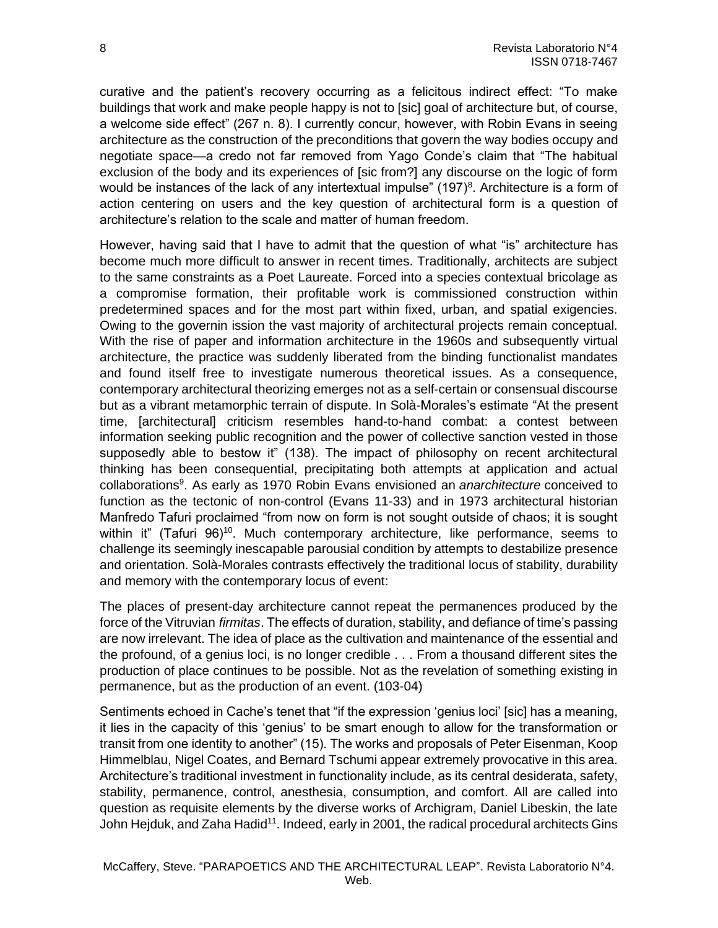curative and the patient's recovery occurring as a felicitous indirect effect: "To make buildings that work and make people happy is not to [sic] goal of architecture but, of course, a welcome side effect" (267 n. 8). I currently concur, however, with Robin Evans in seeing architecture as the construction of the preconditions that govern the way bodies occupy and negotiate space—a credo not far removed from Yago Conde's claim that "The habitual exclusion of the body and its experiences of [sic from?] any discourse on the logic of form would be instances of the lack of any intertextual impulse"  $(197)^8$ . Architecture is a form of action centering on users and the key question of architectural form is a question of architecture's relation to the scale and matter of human freedom.

However, having said that I have to admit that the question of what "is" architecture has become much more difficult to answer in recent times. Traditionally, architects are subject to the same constraints as a Poet Laureate. Forced into a species contextual bricolage as a compromise formation, their profitable work is commissioned construction within predetermined spaces and for the most part within fixed, urban, and spatial exigencies. Owing to the governin ission the vast majority of architectural projects remain conceptual. With the rise of paper and information architecture in the 1960s and subsequently virtual architecture, the practice was suddenly liberated from the binding functionalist mandates and found itself free to investigate numerous theoretical issues. As a consequence, contemporary architectural theorizing emerges not as a self-certain or consensual discourse but as a vibrant metamorphic terrain of dispute. In Solà-Morales's estimate "At the present time, [architectural] criticism resembles hand-to-hand combat: a contest between information seeking public recognition and the power of collective sanction vested in those supposedly able to bestow it" (138). The impact of philosophy on recent architectural thinking has been consequential, precipitating both attempts at application and actual collaborations<sup>9</sup> . As early as 1970 Robin Evans envisioned an *anarchitecture* conceived to function as the tectonic of non-control (Evans 11-33) and in 1973 architectural historian Manfredo Tafuri proclaimed "from now on form is not sought outside of chaos; it is sought within it" (Tafuri 96)<sup>10</sup>. Much contemporary architecture, like performance, seems to challenge its seemingly inescapable parousial condition by attempts to destabilize presence and orientation. Solà-Morales contrasts effectively the traditional locus of stability, durability and memory with the contemporary locus of event:

The places of present-day architecture cannot repeat the permanences produced by the force of the Vitruvian *firmitas*. The effects of duration, stability, and defiance of time's passing are now irrelevant. The idea of place as the cultivation and maintenance of the essential and the profound, of a genius loci, is no longer credible . . . From a thousand different sites the production of place continues to be possible. Not as the revelation of something existing in permanence, but as the production of an event. (103-04)

Sentiments echoed in Cache's tenet that "if the expression 'genius loci' [sic] has a meaning, it lies in the capacity of this 'genius' to be smart enough to allow for the transformation or transit from one identity to another" (15). The works and proposals of Peter Eisenman, Koop Himmelblau, Nigel Coates, and Bernard Tschumi appear extremely provocative in this area. Architecture's traditional investment in functionality include, as its central desiderata, safety, stability, permanence, control, anesthesia, consumption, and comfort. All are called into question as requisite elements by the diverse works of Archigram, Daniel Libeskin, the late John Hejduk, and Zaha Hadid<sup>11</sup>. Indeed, early in 2001, the radical procedural architects Gins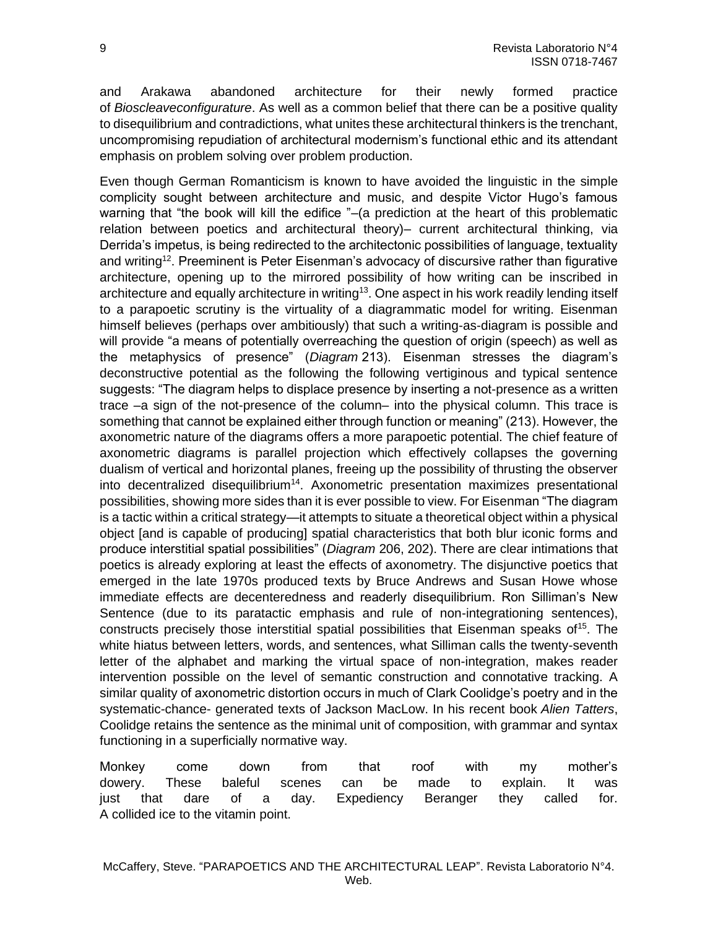and Arakawa abandoned architecture for their newly formed practice of *Bioscleaveconfigurature*. As well as a common belief that there can be a positive quality to disequilibrium and contradictions, what unites these architectural thinkers is the trenchant, uncompromising repudiation of architectural modernism's functional ethic and its attendant emphasis on problem solving over problem production.

Even though German Romanticism is known to have avoided the linguistic in the simple complicity sought between architecture and music, and despite Victor Hugo's famous warning that "the book will kill the edifice "–(a prediction at the heart of this problematic relation between poetics and architectural theory)– current architectural thinking, via Derrida's impetus, is being redirected to the architectonic possibilities of language, textuality and writing<sup>12</sup>. Preeminent is Peter Eisenman's advocacy of discursive rather than figurative architecture, opening up to the mirrored possibility of how writing can be inscribed in architecture and equally architecture in writing<sup>13</sup>. One aspect in his work readily lending itself to a parapoetic scrutiny is the virtuality of a diagrammatic model for writing. Eisenman himself believes (perhaps over ambitiously) that such a writing-as-diagram is possible and will provide "a means of potentially overreaching the question of origin (speech) as well as the metaphysics of presence" (*Diagram* 213). Eisenman stresses the diagram's deconstructive potential as the following the following vertiginous and typical sentence suggests: "The diagram helps to displace presence by inserting a not-presence as a written trace –a sign of the not-presence of the column– into the physical column. This trace is something that cannot be explained either through function or meaning" (213). However, the axonometric nature of the diagrams offers a more parapoetic potential. The chief feature of axonometric diagrams is parallel projection which effectively collapses the governing dualism of vertical and horizontal planes, freeing up the possibility of thrusting the observer into decentralized disequilibrium<sup>14</sup>. Axonometric presentation maximizes presentational possibilities, showing more sides than it is ever possible to view. For Eisenman "The diagram is a tactic within a critical strategy—it attempts to situate a theoretical object within a physical object [and is capable of producing] spatial characteristics that both blur iconic forms and produce interstitial spatial possibilities" (*Diagram* 206, 202). There are clear intimations that poetics is already exploring at least the effects of axonometry. The disjunctive poetics that emerged in the late 1970s produced texts by Bruce Andrews and Susan Howe whose immediate effects are decenteredness and readerly disequilibrium. Ron Silliman's New Sentence (due to its paratactic emphasis and rule of non-integrationing sentences), constructs precisely those interstitial spatial possibilities that Eisenman speaks of<sup>15</sup>. The white hiatus between letters, words, and sentences, what Silliman calls the twenty-seventh letter of the alphabet and marking the virtual space of non-integration, makes reader intervention possible on the level of semantic construction and connotative tracking. A similar quality of axonometric distortion occurs in much of Clark Coolidge's poetry and in the systematic-chance- generated texts of Jackson MacLow. In his recent book *Alien Tatters*, Coolidge retains the sentence as the minimal unit of composition, with grammar and syntax functioning in a superficially normative way.

Monkey come down from that roof with my mother's dowery. These baleful scenes can be made to explain. It was just that dare of a day. Expediency Beranger they called for. A collided ice to the vitamin point.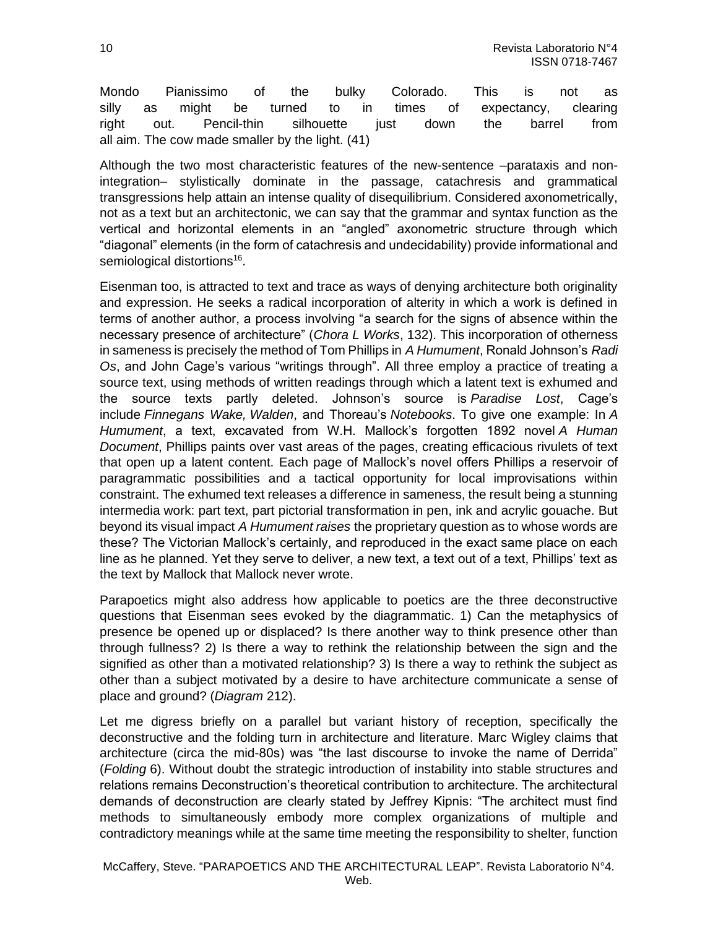Mondo Pianissimo of the bulky Colorado. This is not as silly as might be turned to in times of expectancy, clearing right out. Pencil-thin silhouette just down the barrel from all aim. The cow made smaller by the light. (41)

Although the two most characteristic features of the new-sentence –parataxis and nonintegration– stylistically dominate in the passage, catachresis and grammatical transgressions help attain an intense quality of disequilibrium. Considered axonometrically, not as a text but an architectonic, we can say that the grammar and syntax function as the vertical and horizontal elements in an "angled" axonometric structure through which "diagonal" elements (in the form of catachresis and undecidability) provide informational and semiological distortions<sup>16</sup>.

Eisenman too, is attracted to text and trace as ways of denying architecture both originality and expression. He seeks a radical incorporation of alterity in which a work is defined in terms of another author, a process involving "a search for the signs of absence within the necessary presence of architecture" (*Chora L Works*, 132). This incorporation of otherness in sameness is precisely the method of Tom Phillips in *A Humument*, Ronald Johnson's *Radi Os*, and John Cage's various "writings through". All three employ a practice of treating a source text, using methods of written readings through which a latent text is exhumed and the source texts partly deleted. Johnson's source is *Paradise Lost*, Cage's include *Finnegans Wake, Walden*, and Thoreau's *Notebooks*. To give one example: In *A Humument*, a text, excavated from W.H. Mallock's forgotten 1892 novel *A Human Document*, Phillips paints over vast areas of the pages, creating efficacious rivulets of text that open up a latent content. Each page of Mallock's novel offers Phillips a reservoir of paragrammatic possibilities and a tactical opportunity for local improvisations within constraint. The exhumed text releases a difference in sameness, the result being a stunning intermedia work: part text, part pictorial transformation in pen, ink and acrylic gouache. But beyond its visual impact *A Humument raises* the proprietary question as to whose words are these? The Victorian Mallock's certainly, and reproduced in the exact same place on each line as he planned. Yet they serve to deliver, a new text, a text out of a text, Phillips' text as the text by Mallock that Mallock never wrote.

Parapoetics might also address how applicable to poetics are the three deconstructive questions that Eisenman sees evoked by the diagrammatic. 1) Can the metaphysics of presence be opened up or displaced? Is there another way to think presence other than through fullness? 2) Is there a way to rethink the relationship between the sign and the signified as other than a motivated relationship? 3) Is there a way to rethink the subject as other than a subject motivated by a desire to have architecture communicate a sense of place and ground? (*Diagram* 212).

Let me digress briefly on a parallel but variant history of reception, specifically the deconstructive and the folding turn in architecture and literature. Marc Wigley claims that architecture (circa the mid-80s) was "the last discourse to invoke the name of Derrida" (*Folding* 6). Without doubt the strategic introduction of instability into stable structures and relations remains Deconstruction's theoretical contribution to architecture. The architectural demands of deconstruction are clearly stated by Jeffrey Kipnis: "The architect must find methods to simultaneously embody more complex organizations of multiple and contradictory meanings while at the same time meeting the responsibility to shelter, function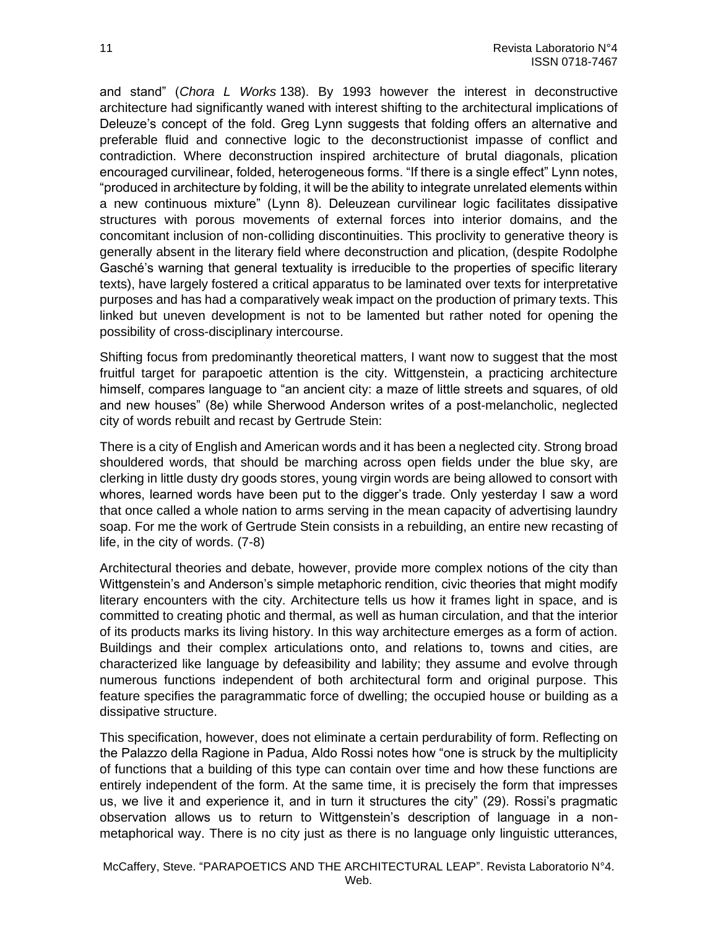and stand" (*Chora L Works* 138). By 1993 however the interest in deconstructive architecture had significantly waned with interest shifting to the architectural implications of Deleuze's concept of the fold. Greg Lynn suggests that folding offers an alternative and preferable fluid and connective logic to the deconstructionist impasse of conflict and contradiction. Where deconstruction inspired architecture of brutal diagonals, plication encouraged curvilinear, folded, heterogeneous forms. "If there is a single effect" Lynn notes, "produced in architecture by folding, it will be the ability to integrate unrelated elements within a new continuous mixture" (Lynn 8). Deleuzean curvilinear logic facilitates dissipative structures with porous movements of external forces into interior domains, and the concomitant inclusion of non-colliding discontinuities. This proclivity to generative theory is generally absent in the literary field where deconstruction and plication, (despite Rodolphe Gasché's warning that general textuality is irreducible to the properties of specific literary texts), have largely fostered a critical apparatus to be laminated over texts for interpretative purposes and has had a comparatively weak impact on the production of primary texts. This linked but uneven development is not to be lamented but rather noted for opening the possibility of cross-disciplinary intercourse.

Shifting focus from predominantly theoretical matters, I want now to suggest that the most fruitful target for parapoetic attention is the city. Wittgenstein, a practicing architecture himself, compares language to "an ancient city: a maze of little streets and squares, of old and new houses" (8e) while Sherwood Anderson writes of a post-melancholic, neglected city of words rebuilt and recast by Gertrude Stein:

There is a city of English and American words and it has been a neglected city. Strong broad shouldered words, that should be marching across open fields under the blue sky, are clerking in little dusty dry goods stores, young virgin words are being allowed to consort with whores, learned words have been put to the digger's trade. Only yesterday I saw a word that once called a whole nation to arms serving in the mean capacity of advertising laundry soap. For me the work of Gertrude Stein consists in a rebuilding, an entire new recasting of life, in the city of words. (7-8)

Architectural theories and debate, however, provide more complex notions of the city than Wittgenstein's and Anderson's simple metaphoric rendition, civic theories that might modify literary encounters with the city. Architecture tells us how it frames light in space, and is committed to creating photic and thermal, as well as human circulation, and that the interior of its products marks its living history. In this way architecture emerges as a form of action. Buildings and their complex articulations onto, and relations to, towns and cities, are characterized like language by defeasibility and lability; they assume and evolve through numerous functions independent of both architectural form and original purpose. This feature specifies the paragrammatic force of dwelling; the occupied house or building as a dissipative structure.

This specification, however, does not eliminate a certain perdurability of form. Reflecting on the Palazzo della Ragione in Padua, Aldo Rossi notes how "one is struck by the multiplicity of functions that a building of this type can contain over time and how these functions are entirely independent of the form. At the same time, it is precisely the form that impresses us, we live it and experience it, and in turn it structures the city" (29). Rossi's pragmatic observation allows us to return to Wittgenstein's description of language in a nonmetaphorical way. There is no city just as there is no language only linguistic utterances,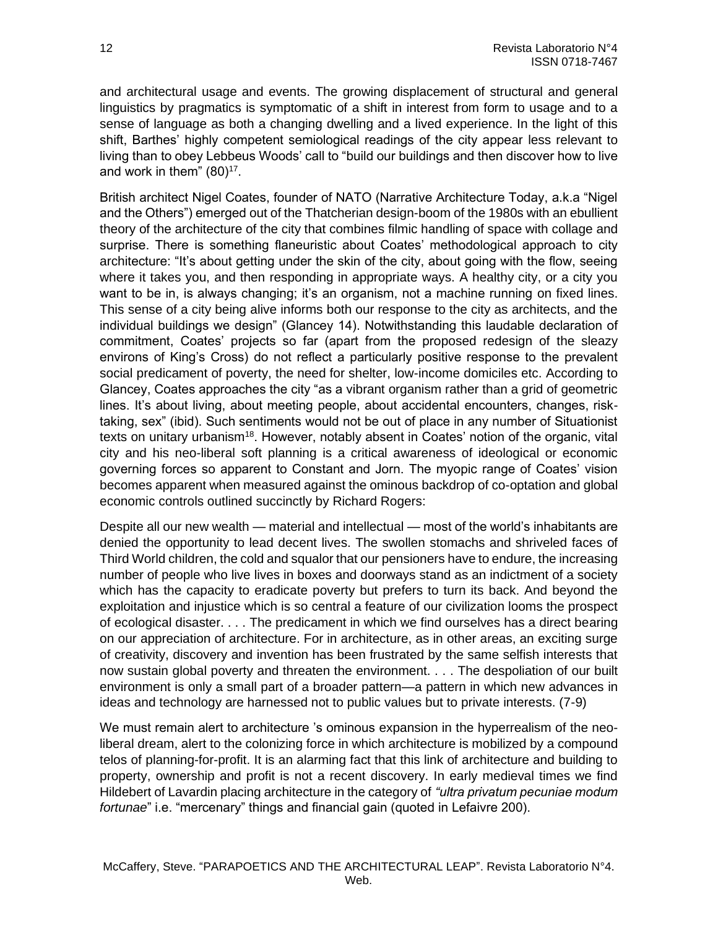and architectural usage and events. The growing displacement of structural and general linguistics by pragmatics is symptomatic of a shift in interest from form to usage and to a sense of language as both a changing dwelling and a lived experience. In the light of this shift, Barthes' highly competent semiological readings of the city appear less relevant to living than to obey Lebbeus Woods' call to "build our buildings and then discover how to live and work in them"  $(80)^{17}$ .

British architect Nigel Coates, founder of NATO (Narrative Architecture Today, a.k.a "Nigel and the Others") emerged out of the Thatcherian design-boom of the 1980s with an ebullient theory of the architecture of the city that combines filmic handling of space with collage and surprise. There is something flaneuristic about Coates' methodological approach to city architecture: "It's about getting under the skin of the city, about going with the flow, seeing where it takes you, and then responding in appropriate ways. A healthy city, or a city you want to be in, is always changing; it's an organism, not a machine running on fixed lines. This sense of a city being alive informs both our response to the city as architects, and the individual buildings we design" (Glancey 14). Notwithstanding this laudable declaration of commitment, Coates' projects so far (apart from the proposed redesign of the sleazy environs of King's Cross) do not reflect a particularly positive response to the prevalent social predicament of poverty, the need for shelter, low-income domiciles etc. According to Glancey, Coates approaches the city "as a vibrant organism rather than a grid of geometric lines. It's about living, about meeting people, about accidental encounters, changes, risktaking, sex" (ibid). Such sentiments would not be out of place in any number of Situationist texts on unitary urbanism<sup>18</sup>. However, notably absent in Coates' notion of the organic, vital city and his neo-liberal soft planning is a critical awareness of ideological or economic governing forces so apparent to Constant and Jorn. The myopic range of Coates' vision becomes apparent when measured against the ominous backdrop of co-optation and global economic controls outlined succinctly by Richard Rogers:

Despite all our new wealth — material and intellectual — most of the world's inhabitants are denied the opportunity to lead decent lives. The swollen stomachs and shriveled faces of Third World children, the cold and squalor that our pensioners have to endure, the increasing number of people who live lives in boxes and doorways stand as an indictment of a society which has the capacity to eradicate poverty but prefers to turn its back. And beyond the exploitation and injustice which is so central a feature of our civilization looms the prospect of ecological disaster. . . . The predicament in which we find ourselves has a direct bearing on our appreciation of architecture. For in architecture, as in other areas, an exciting surge of creativity, discovery and invention has been frustrated by the same selfish interests that now sustain global poverty and threaten the environment. . . . The despoliation of our built environment is only a small part of a broader pattern—a pattern in which new advances in ideas and technology are harnessed not to public values but to private interests. (7-9)

We must remain alert to architecture 's ominous expansion in the hyperrealism of the neoliberal dream, alert to the colonizing force in which architecture is mobilized by a compound telos of planning-for-profit. It is an alarming fact that this link of architecture and building to property, ownership and profit is not a recent discovery. In early medieval times we find Hildebert of Lavardin placing architecture in the category of *"ultra privatum pecuniae modum fortunae*" i.e. "mercenary" things and financial gain (quoted in Lefaivre 200).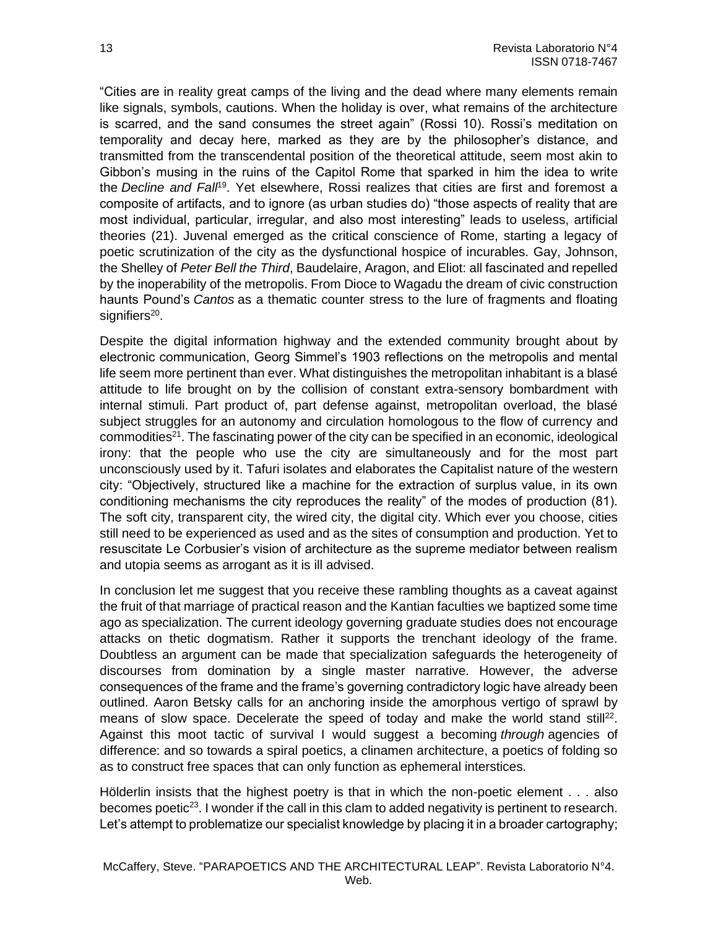"Cities are in reality great camps of the living and the dead where many elements remain like signals, symbols, cautions. When the holiday is over, what remains of the architecture is scarred, and the sand consumes the street again" (Rossi 10). Rossi's meditation on temporality and decay here, marked as they are by the philosopher's distance, and transmitted from the transcendental position of the theoretical attitude, seem most akin to Gibbon's musing in the ruins of the Capitol Rome that sparked in him the idea to write the *Decline and Fall*<sup>19</sup>. Yet elsewhere, Rossi realizes that cities are first and foremost a composite of artifacts, and to ignore (as urban studies do) "those aspects of reality that are most individual, particular, irregular, and also most interesting" leads to useless, artificial theories (21). Juvenal emerged as the critical conscience of Rome, starting a legacy of poetic scrutinization of the city as the dysfunctional hospice of incurables. Gay, Johnson, the Shelley of *Peter Bell the Third*, Baudelaire, Aragon, and Eliot: all fascinated and repelled by the inoperability of the metropolis. From Dioce to Wagadu the dream of civic construction haunts Pound's *Cantos* as a thematic counter stress to the lure of fragments and floating signifiers<sup>20</sup>.

Despite the digital information highway and the extended community brought about by electronic communication, Georg Simmel's 1903 reflections on the metropolis and mental life seem more pertinent than ever. What distinguishes the metropolitan inhabitant is a blasé attitude to life brought on by the collision of constant extra-sensory bombardment with internal stimuli. Part product of, part defense against, metropolitan overload, the blasé subject struggles for an autonomy and circulation homologous to the flow of currency and commodities<sup>21</sup>. The fascinating power of the city can be specified in an economic, ideological irony: that the people who use the city are simultaneously and for the most part unconsciously used by it. Tafuri isolates and elaborates the Capitalist nature of the western city: "Objectively, structured like a machine for the extraction of surplus value, in its own conditioning mechanisms the city reproduces the reality" of the modes of production (81). The soft city, transparent city, the wired city, the digital city. Which ever you choose, cities still need to be experienced as used and as the sites of consumption and production. Yet to resuscitate Le Corbusier's vision of architecture as the supreme mediator between realism and utopia seems as arrogant as it is ill advised.

In conclusion let me suggest that you receive these rambling thoughts as a caveat against the fruit of that marriage of practical reason and the Kantian faculties we baptized some time ago as specialization. The current ideology governing graduate studies does not encourage attacks on thetic dogmatism. Rather it supports the trenchant ideology of the frame. Doubtless an argument can be made that specialization safeguards the heterogeneity of discourses from domination by a single master narrative. However, the adverse consequences of the frame and the frame's governing contradictory logic have already been outlined. Aaron Betsky calls for an anchoring inside the amorphous vertigo of sprawl by means of slow space. Decelerate the speed of today and make the world stand still<sup>22</sup>. Against this moot tactic of survival I would suggest a becoming *through* agencies of difference: and so towards a spiral poetics, a clinamen architecture, a poetics of folding so as to construct free spaces that can only function as ephemeral interstices.

Hölderlin insists that the highest poetry is that in which the non-poetic element . . . also becomes poetic<sup>23</sup>. I wonder if the call in this clam to added negativity is pertinent to research. Let's attempt to problematize our specialist knowledge by placing it in a broader cartography;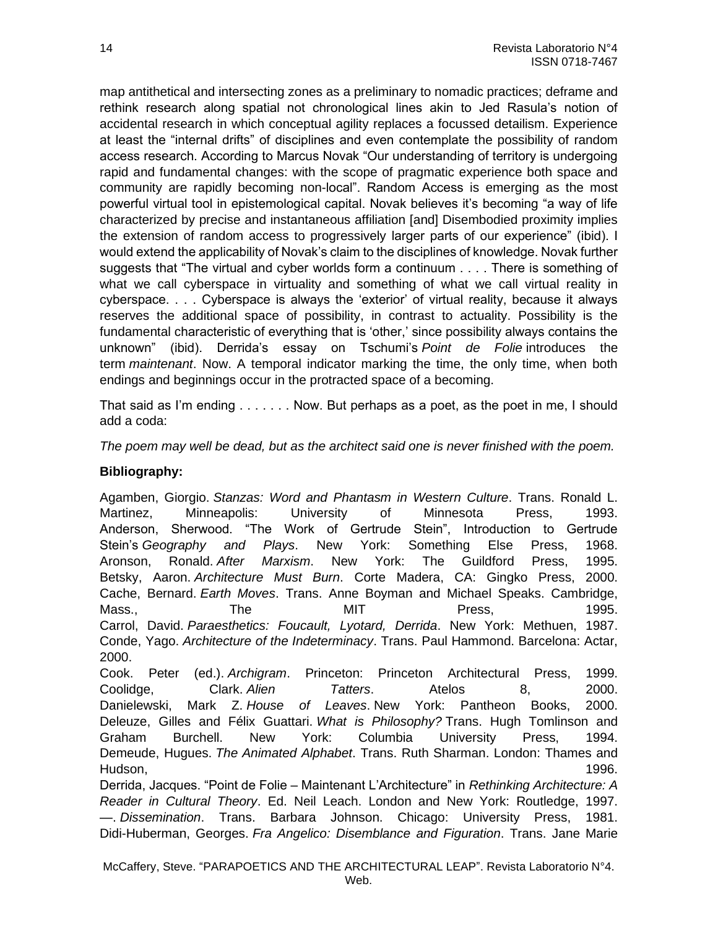map antithetical and intersecting zones as a preliminary to nomadic practices; deframe and rethink research along spatial not chronological lines akin to Jed Rasula's notion of accidental research in which conceptual agility replaces a focussed detailism. Experience at least the "internal drifts" of disciplines and even contemplate the possibility of random access research. According to Marcus Novak "Our understanding of territory is undergoing rapid and fundamental changes: with the scope of pragmatic experience both space and community are rapidly becoming non-local". Random Access is emerging as the most powerful virtual tool in epistemological capital. Novak believes it's becoming "a way of life characterized by precise and instantaneous affiliation [and] Disembodied proximity implies the extension of random access to progressively larger parts of our experience" (ibid). I would extend the applicability of Novak's claim to the disciplines of knowledge. Novak further suggests that "The virtual and cyber worlds form a continuum . . . . There is something of what we call cyberspace in virtuality and something of what we call virtual reality in cyberspace. . . . Cyberspace is always the 'exterior' of virtual reality, because it always reserves the additional space of possibility, in contrast to actuality. Possibility is the fundamental characteristic of everything that is 'other,' since possibility always contains the unknown" (ibid). Derrida's essay on Tschumi's *Point de Folie* introduces the term *maintenant*. Now. A temporal indicator marking the time, the only time, when both endings and beginnings occur in the protracted space of a becoming.

That said as I'm ending . . . . . . Now. But perhaps as a poet, as the poet in me, I should add a coda:

*The poem may well be dead, but as the architect said one is never finished with the poem.*

## **Bibliography:**

Agamben, Giorgio. *Stanzas: Word and Phantasm in Western Culture*. Trans. Ronald L. Martinez, Minneapolis: University of Minnesota Press, 1993. Anderson, Sherwood. "The Work of Gertrude Stein", Introduction to Gertrude Stein's *Geography and Plays*. New York: Something Else Press, 1968. Aronson, Ronald. *After Marxism*. New York: The Guildford Press, 1995. Betsky, Aaron. *Architecture Must Burn*. Corte Madera, CA: Gingko Press, 2000. Cache, Bernard. *Earth Moves*. Trans. Anne Boyman and Michael Speaks. Cambridge, Mass., The MIT Press, 1995. Carrol, David. *Paraesthetics: Foucault, Lyotard, Derrida*. New York: Methuen, 1987. Conde, Yago. *Architecture of the Indeterminacy*. Trans. Paul Hammond. Barcelona: Actar, 2000.

Cook. Peter (ed.). *Archigram*. Princeton: Princeton Architectural Press, 1999. Coolidge, Clark. *Alien Tatters*. Atelos 8, 2000. Danielewski, Mark Z. *House of Leaves*. New York: Pantheon Books, 2000. Deleuze, Gilles and Félix Guattari. *What is Philosophy?* Trans. Hugh Tomlinson and Graham Burchell. New York: Columbia University Press, 1994. Demeude, Hugues. *The Animated Alphabet*. Trans. Ruth Sharman. London: Thames and Hudson, 1996.

Derrida, Jacques. "Point de Folie – Maintenant L'Architecture" in *Rethinking Architecture: A Reader in Cultural Theory*. Ed. Neil Leach. London and New York: Routledge, 1997. —. *Dissemination*. Trans. Barbara Johnson. Chicago: University Press, 1981. Didi-Huberman, Georges. *Fra Angelico: Disemblance and Figuration*. Trans. Jane Marie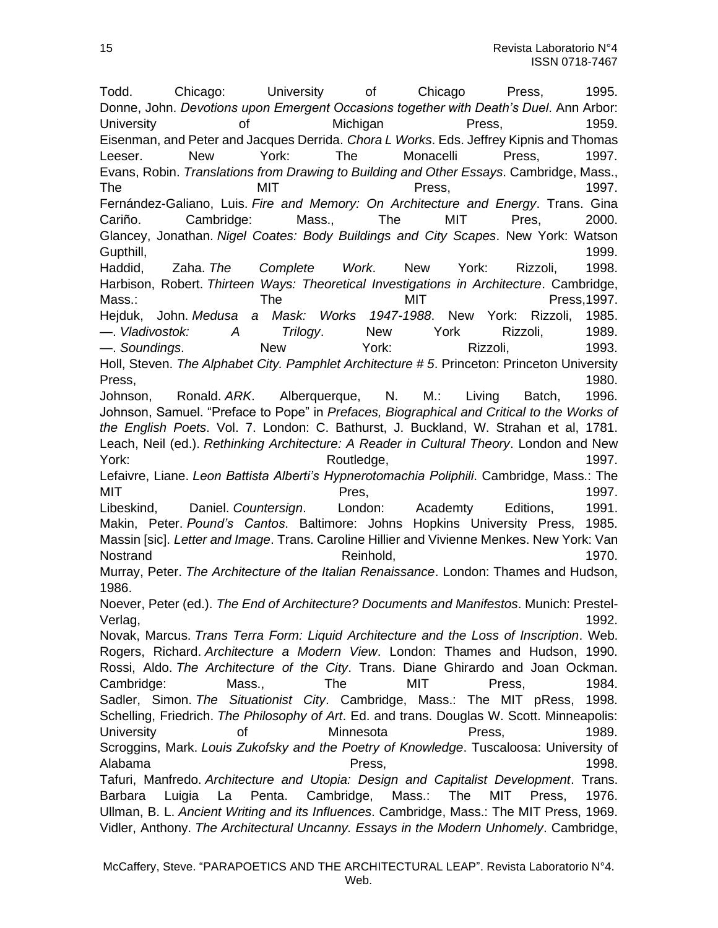Todd. Chicago: University of Chicago Press, 1995. Donne, John. *Devotions upon Emergent Occasions together with Death's Duel*. Ann Arbor: University of Michigan Press, 1959. Eisenman, and Peter and Jacques Derrida. *Chora L Works*. Eds. Jeffrey Kipnis and Thomas Leeser. New York: The Monacelli Press, 1997. Evans, Robin. *Translations from Drawing to Building and Other Essays*. Cambridge, Mass., The MIT MIT Press, 2008 1997. Fernández-Galiano, Luis. *Fire and Memory: On Architecture and Energy*. Trans. Gina Cariño. Cambridge: Mass., The MIT Pres, 2000. Glancey, Jonathan. *Nigel Coates: Body Buildings and City Scapes*. New York: Watson Gupthill, 1999. Haddid, Zaha. *The Complete Work*. New York: Rizzoli, 1998. Harbison, Robert. *Thirteen Ways: Theoretical Investigations in Architecture*. Cambridge, Mass.: The MIT Press,1997. Hejduk, John. *Medusa a Mask: Works 1947-1988*. New York: Rizzoli, 1985. —. *Vladivostok: A Trilogy*. New York Rizzoli, 1989. —. *Soundings*. New York: Rizzoli, 1993. Holl, Steven. *The Alphabet City. Pamphlet Architecture # 5*. Princeton: Princeton University Press, 2008. The state of the state of the state of the state of the state of the state of the state of the state of the state of the state of the state of the state of the state of the state of the state of the state of t Johnson, Ronald. *ARK*. Alberquerque, N. M.: Living Batch, 1996. Johnson, Samuel. "Preface to Pope" in *Prefaces, Biographical and Critical to the Works of the English Poets*. Vol. 7. London: C. Bathurst, J. Buckland, W. Strahan et al, 1781. Leach, Neil (ed.). *Rethinking Architecture: A Reader in Cultural Theory*. London and New York: 1997. Lefaivre, Liane. *Leon Battista Alberti's Hypnerotomachia Poliphili*. Cambridge, Mass.: The MIT 1997. Libeskind, Daniel. *Countersign*. London: Academty Editions, 1991. Makin, Peter. *Pound's Cantos*. Baltimore: Johns Hopkins University Press, 1985. Massin [sic]. *Letter and Image*. Trans. Caroline Hillier and Vivienne Menkes. New York: Van Nostrand 1970. Murray, Peter. *The Architecture of the Italian Renaissance*. London: Thames and Hudson, 1986. Noever, Peter (ed.). *The End of Architecture? Documents and Manifestos*. Munich: Prestel-Verlag, 1992. Novak, Marcus. *Trans Terra Form: Liquid Architecture and the Loss of Inscription*. Web. Rogers, Richard. *Architecture a Modern View*. London: Thames and Hudson, 1990. Rossi, Aldo. *The Architecture of the City*. Trans. Diane Ghirardo and Joan Ockman. Cambridge: Mass., The MIT Press, 1984. Sadler, Simon. *The Situationist City*. Cambridge, Mass.: The MIT pRess, 1998. Schelling, Friedrich. *The Philosophy of Art*. Ed. and trans. Douglas W. Scott. Minneapolis: University of Minnesota Press, 1989. Scroggins, Mark. *Louis Zukofsky and the Poetry of Knowledge*. Tuscaloosa: University of Alabama **Press, 2006** 1998. Tafuri, Manfredo. *Architecture and Utopia: Design and Capitalist Development*. Trans. Barbara Luigia La Penta. Cambridge, Mass.: The MIT Press, 1976. Ullman, B. L. *Ancient Writing and its Influences*. Cambridge, Mass.: The MIT Press, 1969. Vidler, Anthony. *The Architectural Uncanny. Essays in the Modern Unhomely*. Cambridge,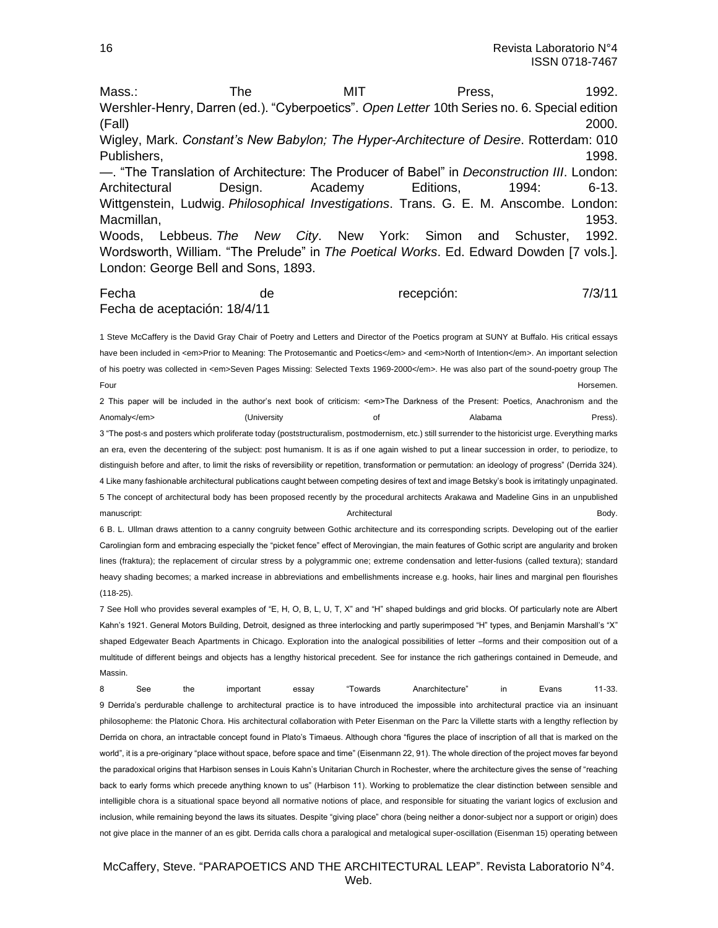Mass.: The MIT Press, 1992. Wershler-Henry, Darren (ed.). "Cyberpoetics". *Open Letter* 10th Series no. 6. Special edition (Fall) 2000. Wigley, Mark. *Constant's New Babylon; The Hyper-Architecture of Desire*. Rotterdam: 010 Publishers, 1998. —. "The Translation of Architecture: The Producer of Babel" in *Deconstruction III*. London: Architectural Design. Academy Editions, 1994: 6-13. Wittgenstein, Ludwig. *Philosophical Investigations*. Trans. G. E. M. Anscombe. London: Macmillan, 1953. Woods, Lebbeus. *The New City*. New York: Simon and Schuster, 1992. Wordsworth, William. "The Prelude" in *The Poetical Works*. Ed. Edward Dowden [7 vols.]. London: George Bell and Sons, 1893. Fecha de recepción: 7/3/11

Fecha de aceptación: 18/4/11

1 Steve McCaffery is the David Gray Chair of Poetry and Letters and Director of the Poetics program at SUNY at Buffalo. His critical essays have been included in <em>Prior to Meaning: The Protosemantic and Poetics</em> and <em>North of Intention</em>. An important selection of his poetry was collected in <em>Seven Pages Missing: Selected Texts 1969-2000</em>. He was also part of the sound-poetry group The Four Horsemen.

2 This paper will be included in the author's next book of criticism: <em>The Darkness of the Present: Poetics, Anachronism and the Anomaly</em> (University of Alabama Press). 3 "The post-s and posters which proliferate today (poststructuralism, postmodernism, etc.) still surrender to the historicist urge. Everything marks an era, even the decentering of the subject: post humanism. It is as if one again wished to put a linear succession in order, to periodize, to distinguish before and after, to limit the risks of reversibility or repetition, transformation or permutation: an ideology of progress" (Derrida 324). 4 Like many fashionable architectural publications caught between competing desires of text and image Betsky's book is irritatingly unpaginated. 5 The concept of architectural body has been proposed recently by the procedural architects Arakawa and Madeline Gins in an unpublished manuscript: Architectural Body. Architectural and the state of the Body.

6 B. L. Ullman draws attention to a canny congruity between Gothic architecture and its corresponding scripts. Developing out of the earlier Carolingian form and embracing especially the "picket fence" effect of Merovingian, the main features of Gothic script are angularity and broken lines (fraktura); the replacement of circular stress by a polygrammic one; extreme condensation and letter-fusions (called textura); standard heavy shading becomes; a marked increase in abbreviations and embellishments increase e.g. hooks, hair lines and marginal pen flourishes (118-25).

7 See Holl who provides several examples of "E, H, O, B, L, U, T, X" and "H" shaped buldings and grid blocks. Of particularly note are Albert Kahn's 1921. General Motors Building, Detroit, designed as three interlocking and partly superimposed "H" types, and Benjamin Marshall's "X" shaped Edgewater Beach Apartments in Chicago. Exploration into the analogical possibilities of letter -forms and their composition out of a multitude of different beings and objects has a lengthy historical precedent. See for instance the rich gatherings contained in Demeude, and Massin.

8 See the important essay "Towards Anarchitecture" in Evans 11-33. 9 Derrida's perdurable challenge to architectural practice is to have introduced the impossible into architectural practice via an insinuant philosopheme: the Platonic Chora. His architectural collaboration with Peter Eisenman on the Parc la Villette starts with a lengthy reflection by Derrida on chora, an intractable concept found in Plato's Timaeus. Although chora "figures the place of inscription of all that is marked on the world", it is a pre-originary "place without space, before space and time" (Eisenmann 22, 91). The whole direction of the project moves far beyond the paradoxical origins that Harbison senses in Louis Kahn's Unitarian Church in Rochester, where the architecture gives the sense of "reaching back to early forms which precede anything known to us" (Harbison 11). Working to problematize the clear distinction between sensible and intelligible chora is a situational space beyond all normative notions of place, and responsible for situating the variant logics of exclusion and inclusion, while remaining beyond the laws its situates. Despite "giving place" chora (being neither a donor-subject nor a support or origin) does not give place in the manner of an es gibt. Derrida calls chora a paralogical and metalogical super-oscillation (Eisenman 15) operating between

McCaffery, Steve. "PARAPOETICS AND THE ARCHITECTURAL LEAP". Revista Laboratorio N°4. Web.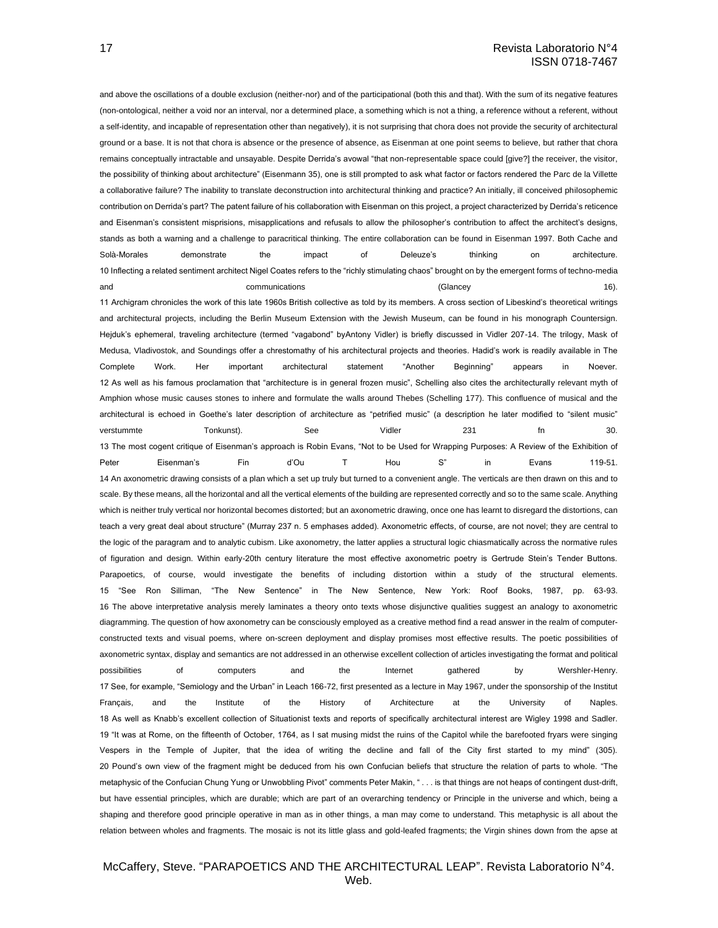and above the oscillations of a double exclusion (neither-nor) and of the participational (both this and that). With the sum of its negative features (non-ontological, neither a void nor an interval, nor a determined place, a something which is not a thing, a reference without a referent, without a self-identity, and incapable of representation other than negatively), it is not surprising that chora does not provide the security of architectural ground or a base. It is not that chora is absence or the presence of absence, as Eisenman at one point seems to believe, but rather that chora remains conceptually intractable and unsayable. Despite Derrida's avowal "that non-representable space could [give?] the receiver, the visitor, the possibility of thinking about architecture" (Eisenmann 35), one is still prompted to ask what factor or factors rendered the Parc de la Villette a collaborative failure? The inability to translate deconstruction into architectural thinking and practice? An initially, ill conceived philosophemic contribution on Derrida's part? The patent failure of his collaboration with Eisenman on this project, a project characterized by Derrida's reticence and Eisenman's consistent misprisions, misapplications and refusals to allow the philosopher's contribution to affect the architect's designs, stands as both a warning and a challenge to paracritical thinking. The entire collaboration can be found in Eisenman 1997. Both Cache and Solà-Morales demonstrate the impact of Deleuze's thinking on architecture. 10 Inflecting a related sentiment architect Nigel Coates refers to the "richly stimulating chaos" brought on by the emergent forms of techno-media and and communications communications (Glancey 16).

11 Archigram chronicles the work of this late 1960s British collective as told by its members. A cross section of Libeskind's theoretical writings and architectural projects, including the Berlin Museum Extension with the Jewish Museum, can be found in his monograph Countersign. Hejduk's ephemeral, traveling architecture (termed "vagabond" byAntony Vidler) is briefly discussed in Vidler 207-14. The trilogy, Mask of Medusa, Vladivostok, and Soundings offer a chrestomathy of his architectural projects and theories. Hadid's work is readily available in The Complete Work. Her important architectural statement "Another Beginning" appears in Noever. 12 As well as his famous proclamation that "architecture is in general frozen music", Schelling also cites the architecturally relevant myth of Amphion whose music causes stones to inhere and formulate the walls around Thebes (Schelling 177). This confluence of musical and the architectural is echoed in Goethe's later description of architecture as "petrified music" (a description he later modified to "silent music" verstummte Tonkunst). See Vidler 231 fn 30. 13 The most cogent critique of Eisenman's approach is Robin Evans, "Not to be Used for Wrapping Purposes: A Review of the Exhibition of Peter Eisenman's Fin d'Ou T Hou S" in Evans 119-51. 14 An axonometric drawing consists of a plan which a set up truly but turned to a convenient angle. The verticals are then drawn on this and to scale. By these means, all the horizontal and all the vertical elements of the building are represented correctly and so to the same scale. Anything which is neither truly vertical nor horizontal becomes distorted; but an axonometric drawing, once one has learnt to disregard the distortions, can teach a very great deal about structure" (Murray 237 n. 5 emphases added). Axonometric effects, of course, are not novel; they are central to the logic of the paragram and to analytic cubism. Like axonometry, the latter applies a structural logic chiasmatically across the normative rules of figuration and design. Within early-20th century literature the most effective axonometric poetry is Gertrude Stein's Tender Buttons. Parapoetics, of course, would investigate the benefits of including distortion within a study of the structural elements. 15 "See Ron Silliman, "The New Sentence" in The New Sentence, New York: Roof Books, 1987, pp. 63-93. 16 The above interpretative analysis merely laminates a theory onto texts whose disjunctive qualities suggest an analogy to axonometric diagramming. The question of how axonometry can be consciously employed as a creative method find a read answer in the realm of computerconstructed texts and visual poems, where on-screen deployment and display promises most effective results. The poetic possibilities of axonometric syntax, display and semantics are not addressed in an otherwise excellent collection of articles investigating the format and political possibilities of computers and the Internet gathered by Wershler-Henry. 17 See, for example, "Semiology and the Urban" in Leach 166-72, first presented as a lecture in May 1967, under the sponsorship of the Institut Français, and the Institute of the History of Architecture at the University of Naples. 18 As well as Knabb's excellent collection of Situationist texts and reports of specifically architectural interest are Wigley 1998 and Sadler. 19 "It was at Rome, on the fifteenth of October, 1764, as I sat musing midst the ruins of the Capitol while the barefooted fryars were singing Vespers in the Temple of Jupiter, that the idea of writing the decline and fall of the City first started to my mind" (305). 20 Pound's own view of the fragment might be deduced from his own Confucian beliefs that structure the relation of parts to whole. "The metaphysic of the Confucian Chung Yung or Unwobbling Pivot" comments Peter Makin, " . . . is that things are not heaps of contingent dust-drift, but have essential principles, which are durable; which are part of an overarching tendency or Principle in the universe and which, being a shaping and therefore good principle operative in man as in other things, a man may come to understand. This metaphysic is all about the relation between wholes and fragments. The mosaic is not its little glass and gold-leafed fragments; the Virgin shines down from the apse at

McCaffery, Steve. "PARAPOETICS AND THE ARCHITECTURAL LEAP". Revista Laboratorio N°4. Web.